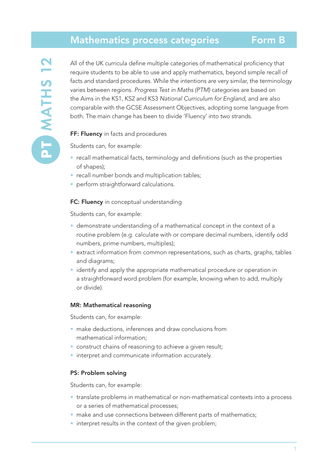## Mathematics process categories

All of the UK curricula define multiple categories of mathematical proficiency that require students to be able to use and apply mathematics, beyond simple recall of facts and standard procedures. While the intentions are very similar, the terminology varies between regions. *Progress Test in Maths (PTM)* categories are based on the Aims in the KS1, KS2 and KS3 *National Curriculum for England*, and are also comparable with the GCSE Assessment Objectives, adopting some language from both. The main change has been to divide 'Fluency' into two strands.

### FF: Fluency in facts and procedures

Students can, for example:

- recall mathematical facts, terminology and definitions (such as the properties of shapes);
- recall number bonds and multiplication tables;
- perform straightforward calculations.

#### FC: Fluency in conceptual understanding

Students can, for example:

- demonstrate understanding of a mathematical concept in the context of a routine problem (e.g. calculate with or compare decimal numbers, identify odd numbers, prime numbers, multiples);
- extract information from common representations, such as charts, graphs, tables and diagrams;
- identify and apply the appropriate mathematical procedure or operation in a straightforward word problem (for example, knowing when to add, multiply or divide).

#### MR: Mathematical reasoning

Students can, for example:

- make deductions, inferences and draw conclusions from mathematical information;
- construct chains of reasoning to achieve a given result;
- interpret and communicate information accurately.

#### PS: Problem solving

Students can, for example:

- translate problems in mathematical or non-mathematical contexts into a process or a series of mathematical processes;
- make and use connections between different parts of mathematics;
- interpret results in the context of the given problem;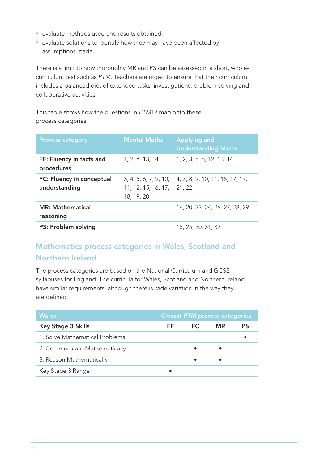- evaluate methods used and results obtained;
- evaluate solutions to identify how they may have been affected by assumptions made.

There is a limit to how thoroughly MR and PS can be assessed in a short, wholecurriculum test such as *PTM*. Teachers are urged to ensure that their curriculum includes a balanced diet of extended tasks, investigations, problem solving and collaborative activities.

This table shows how the questions in *PTM*12 map onto these process categories.

| <b>Process category</b>                    | <b>Mental Maths</b>                                        | <b>Applying and</b><br><b>Understanding Maths</b> |
|--------------------------------------------|------------------------------------------------------------|---------------------------------------------------|
| FF: Fluency in facts and<br>procedures     | 1, 2, 8, 13, 14                                            | 1, 2, 3, 5, 6, 12, 13, 14                         |
| FC: Fluency in conceptual<br>understanding | 3, 4, 5, 6, 7, 9, 10,<br>11, 12, 15, 16, 17,<br>18, 19, 20 | 4, 7, 8, 9, 10, 11, 15, 17, 19,<br>21, 22         |
| <b>MR: Mathematical</b><br>reasoning       |                                                            | 16, 20, 23, 24, 26, 27, 28, 29                    |
| PS: Problem solving                        |                                                            | 18, 25, 30, 31, 32                                |

### Mathematics process categories in Wales, Scotland and Northern Ireland

The process categories are based on the National Curriculum and GCSE syllabuses for England. The curricula for Wales, Scotland and Northern Ireland have similar requirements, although there is wide variation in the way they are defined.

| <b>Wales</b>                   | <b>Closest PTM process categories</b> |     |           |    |
|--------------------------------|---------------------------------------|-----|-----------|----|
| <b>Key Stage 3 Skills</b>      | FF                                    | FC. | <b>MR</b> | PS |
| 1. Solve Mathematical Problems |                                       |     |           |    |
| 2. Communicate Mathematically  |                                       |     |           |    |
| 3. Reason Mathematically       |                                       |     |           |    |
| Key Stage 3 Range              |                                       |     |           |    |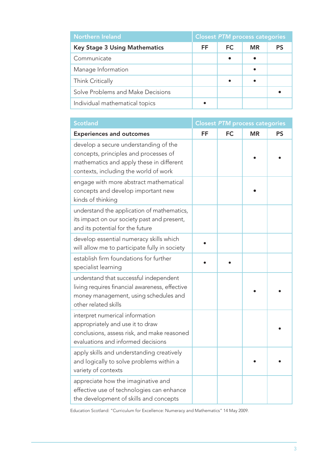| <b>Northern Ireland</b>              | <b>Closest PTM process categories</b> |     |           |           |
|--------------------------------------|---------------------------------------|-----|-----------|-----------|
| <b>Key Stage 3 Using Mathematics</b> | FF.                                   | FC. | <b>MR</b> | <b>PS</b> |
| Communicate                          |                                       |     |           |           |
| Manage Information                   |                                       |     |           |           |
| Think Critically                     |                                       |     |           |           |
| Solve Problems and Make Decisions    |                                       |     |           |           |
| Individual mathematical topics       |                                       |     |           |           |

| <b>Scotland</b>                                                                                                                                                     | <b>Closest PTM process categories</b> |           |           |           |
|---------------------------------------------------------------------------------------------------------------------------------------------------------------------|---------------------------------------|-----------|-----------|-----------|
| <b>Experiences and outcomes</b>                                                                                                                                     | FF                                    | <b>FC</b> | <b>MR</b> | <b>PS</b> |
| develop a secure understanding of the<br>concepts, principles and processes of<br>mathematics and apply these in different<br>contexts, including the world of work |                                       |           |           |           |
| engage with more abstract mathematical<br>concepts and develop important new<br>kinds of thinking                                                                   |                                       |           |           |           |
| understand the application of mathematics,<br>its impact on our society past and present,<br>and its potential for the future                                       |                                       |           |           |           |
| develop essential numeracy skills which<br>will allow me to participate fully in society                                                                            |                                       |           |           |           |
| establish firm foundations for further<br>specialist learning                                                                                                       |                                       |           |           |           |
| understand that successful independent<br>living requires financial awareness, effective<br>money management, using schedules and<br>other related skills           |                                       |           |           |           |
| interpret numerical information<br>appropriately and use it to draw<br>conclusions, assess risk, and make reasoned<br>evaluations and informed decisions            |                                       |           |           |           |
| apply skills and understanding creatively<br>and logically to solve problems within a<br>variety of contexts                                                        |                                       |           |           |           |
| appreciate how the imaginative and<br>effective use of technologies can enhance<br>the development of skills and concepts                                           |                                       |           |           |           |

Education Scotland: "Curriculum for Excellence: Numeracy and Mathematics" 14 May 2009.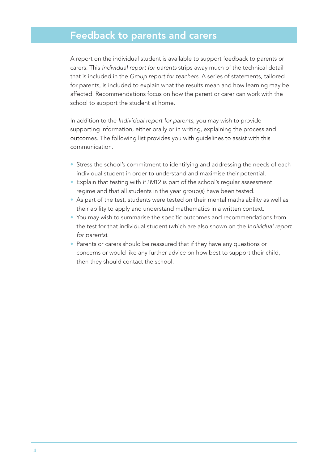# Feedback to parents and carers

A report on the individual student is available to support feedback to parents or carers. This *Individual report for parents* strips away much of the technical detail that is included in the *Group report for teachers*. A series of statements, tailored for parents, is included to explain what the results mean and how learning may be affected. Recommendations focus on how the parent or carer can work with the school to support the student at home.

In addition to the *Individual report for parents*, you may wish to provide supporting information, either orally or in writing, explaining the process and outcomes. The following list provides you with guidelines to assist with this communication.

- Stress the school's commitment to identifying and addressing the needs of each individual student in order to understand and maximise their potential.
- Explain that testing with *PTM*12 is part of the school's regular assessment regime and that all students in the year group(s) have been tested.
- As part of the test, students were tested on their mental maths ability as well as their ability to apply and understand mathematics in a written context.
- You may wish to summarise the specific outcomes and recommendations from the test for that individual student (which are also shown on the *Individual report for parents*).
- Parents or carers should be reassured that if they have any questions or concerns or would like any further advice on how best to support their child, then they should contact the school.